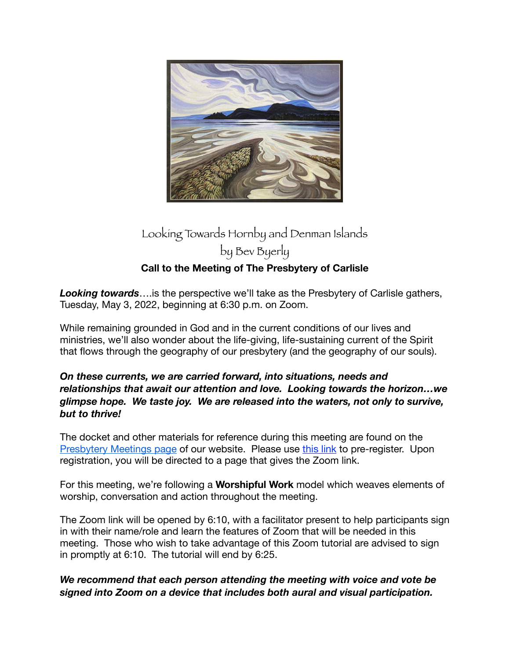

## Looking Towards Hornby and Denman Islands by Bev Byerly **Call to the Meeting of The Presbytery of Carlisle**

**Looking towards**.... is the perspective we'll take as the Presbytery of Carlisle gathers, Tuesday, May 3, 2022, beginning at 6:30 p.m. on Zoom.

While remaining grounded in God and in the current conditions of our lives and ministries, we'll also wonder about the life-giving, life-sustaining current of the Spirit that flows through the geography of our presbytery (and the geography of our souls).

## *On these currents, we are carried forward, into situations, needs and relationships that await our attention and love. Looking towards the horizon…we glimpse hope. We taste joy. We are released into the waters, not only to survive, but to thrive!*

The docket and other materials for reference during this meeting are found on the [Presbytery Meetings page](https://carlislepby.org/presbytery-meetings/) of our website. Please use [this link](https://carlislepby.org/may-3-2022-presbytery-meeting-registration/) to pre-register. Upon registration, you will be directed to a page that gives the Zoom link.

For this meeting, we're following a **Worshipful Work** model which weaves elements of worship, conversation and action throughout the meeting.

The Zoom link will be opened by 6:10, with a facilitator present to help participants sign in with their name/role and learn the features of Zoom that will be needed in this meeting. Those who wish to take advantage of this Zoom tutorial are advised to sign in promptly at 6:10. The tutorial will end by 6:25.

## *We recommend that each person attending the meeting with voice and vote be signed into Zoom on a device that includes both aural and visual participation.*